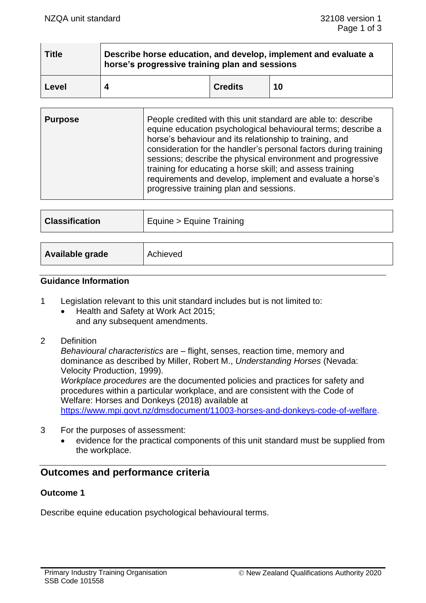| <b>Title</b> | Describe horse education, and develop, implement and evaluate a<br>horse's progressive training plan and sessions |                |    |
|--------------|-------------------------------------------------------------------------------------------------------------------|----------------|----|
| Level        |                                                                                                                   | <b>Credits</b> | 10 |

| <b>Purpose</b> | People credited with this unit standard are able to: describe<br>equine education psychological behavioural terms; describe a<br>horse's behaviour and its relationship to training, and<br>consideration for the handler's personal factors during training<br>sessions; describe the physical environment and progressive<br>training for educating a horse skill; and assess training<br>requirements and develop, implement and evaluate a horse's<br>progressive training plan and sessions. |
|----------------|---------------------------------------------------------------------------------------------------------------------------------------------------------------------------------------------------------------------------------------------------------------------------------------------------------------------------------------------------------------------------------------------------------------------------------------------------------------------------------------------------|
|----------------|---------------------------------------------------------------------------------------------------------------------------------------------------------------------------------------------------------------------------------------------------------------------------------------------------------------------------------------------------------------------------------------------------------------------------------------------------------------------------------------------------|

| <b>Classification</b> | Equine > Equine Training |  |
|-----------------------|--------------------------|--|
|                       |                          |  |
| Available grade       | Achieved                 |  |

#### **Guidance Information**

- 1 Legislation relevant to this unit standard includes but is not limited to:
	- Health and Safety at Work Act 2015; and any subsequent amendments.
- 2 Definition

*Behavioural characteristics* are – flight, senses, reaction time, memory and dominance as described by Miller, Robert M., *Understanding Horses* (Nevada: Velocity Production, 1999).

*Workplace procedures* are the documented policies and practices for safety and procedures within a particular workplace, and are consistent with the Code of Welfare: Horses and Donkeys (2018) available at

[https://www.mpi.govt.nz/dmsdocument/11003-horses-and-donkeys-code-of-welfare.](https://www.mpi.govt.nz/dmsdocument/11003-horses-and-donkeys-code-of-welfare)

- 3 For the purposes of assessment:
	- evidence for the practical components of this unit standard must be supplied from the workplace.

# **Outcomes and performance criteria**

#### **Outcome 1**

Describe equine education psychological behavioural terms.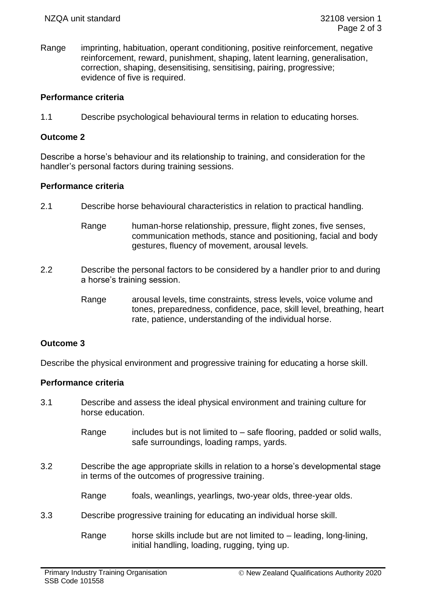Range imprinting, habituation, operant conditioning, positive reinforcement, negative reinforcement, reward, punishment, shaping, latent learning, generalisation, correction, shaping, desensitising, sensitising, pairing, progressive; evidence of five is required.

## **Performance criteria**

1.1 Describe psychological behavioural terms in relation to educating horses.

### **Outcome 2**

Describe a horse's behaviour and its relationship to training, and consideration for the handler's personal factors during training sessions.

## **Performance criteria**

- 2.1 Describe horse behavioural characteristics in relation to practical handling.
	- Range human-horse relationship, pressure, flight zones, five senses, communication methods, stance and positioning, facial and body gestures, fluency of movement, arousal levels.
- 2.2 Describe the personal factors to be considered by a handler prior to and during a horse's training session.
	- Range arousal levels, time constraints, stress levels, voice volume and tones, preparedness, confidence, pace, skill level, breathing, heart rate, patience, understanding of the individual horse.

# **Outcome 3**

Describe the physical environment and progressive training for educating a horse skill.

# **Performance criteria**

- 3.1 Describe and assess the ideal physical environment and training culture for horse education.
	- Range includes but is not limited to  $-$  safe flooring, padded or solid walls, safe surroundings, loading ramps, yards.
- 3.2 Describe the age appropriate skills in relation to a horse's developmental stage in terms of the outcomes of progressive training.
	- Range foals, weanlings, yearlings, two-year olds, three-year olds.
- 3.3 Describe progressive training for educating an individual horse skill.

Range horse skills include but are not limited to – leading, long-lining, initial handling, loading, rugging, tying up.